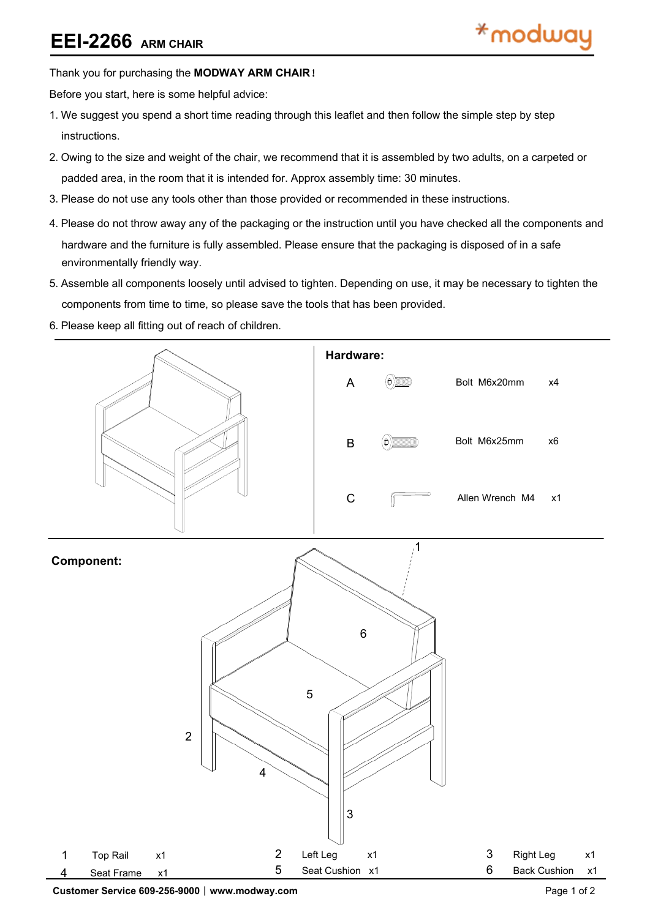## **EEI-2266 ARM CHAIR**

### Thank you for purchasing the **MODWAY ARM CHAIR**!

Before you start, here is some helpful advice:

- 1.We suggest you spend a short time reading through this leaflet and then follow the simple step by step instructions.
- 2.Owing to the size and weight of the chair, we recommend that it is assembled by two adults, on a carpeted or padded area, in the room that it is intended for. Approx assembly time: 30 minutes.
- 3.Please do not use any tools other than those provided or recommended in these instructions.
- 4.Please do not throw away any of the packaging or the instruction until you have checked all the components and hardware and the furniture is fully assembled. Please ensure that the packaging is disposed of in a safe environmentally friendly way.
- 5.Assemble all components loosely until advised to tighten. Depending on use, it may be necessary to tighten the components from time to time, so please save the tools that has been provided.
- 6.Please keep all fitting out of reach of children.